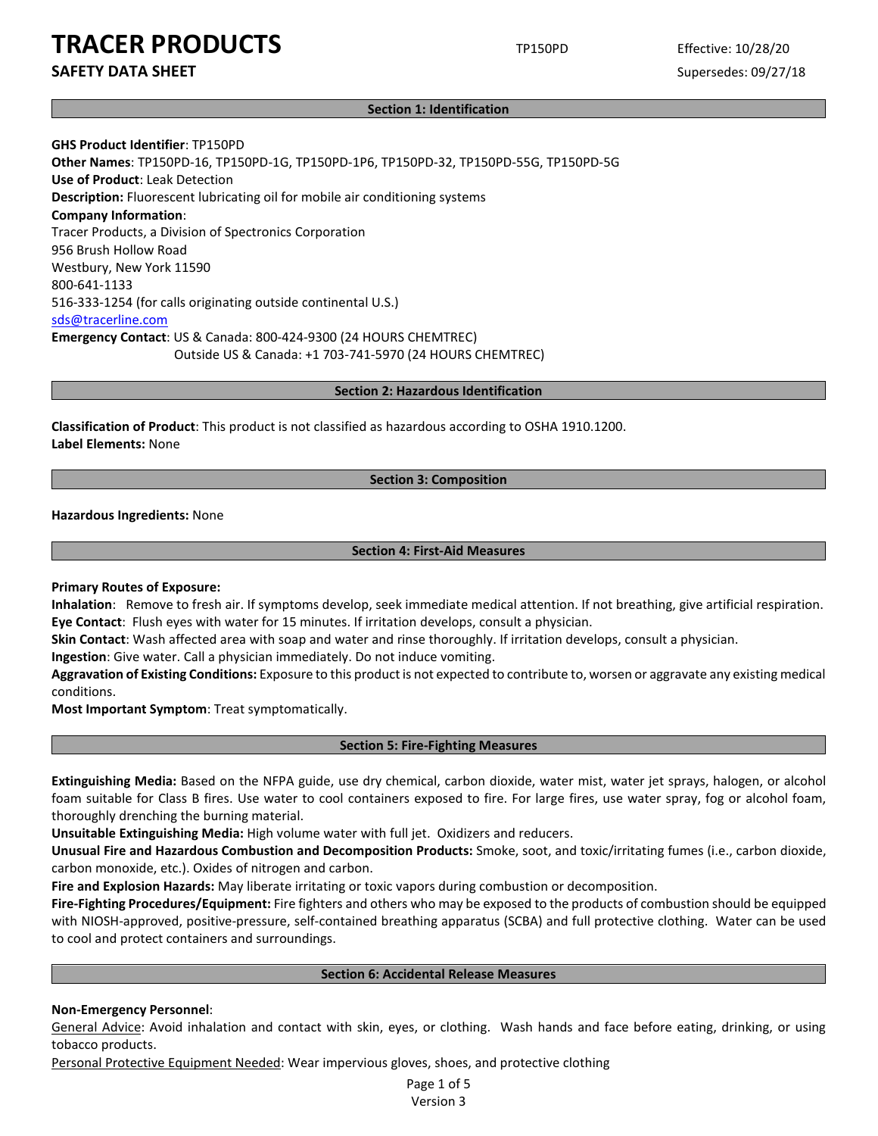**SAFETY DATA SHEET** SUPERFOUR SUPERFOUR SUPERFOUR SUPERFOUR SUPERFOUR SUPERFOUR SUPERFOUR SUPERFOUR SUPERFOUR SUPERFOUR SUPERFOUR SUPERFOUR SUPERFOUR SUPERFOUR SUPERFOUR SUPERFOUR SUPERFOUR SUPERFOUR SUPERFOUR SUPERFOUR SU

#### **Section 1: Identification**

**GHS Product Identifier**: TP150PD **Other Names**: TP150PD-16, TP150PD-1G, TP150PD-1P6, TP150PD-32, TP150PD-55G, TP150PD-5G **Use of Product**: Leak Detection **Description:** Fluorescent lubricating oil for mobile air conditioning systems **Company Information**: Tracer Products, a Division of Spectronics Corporation 956 Brush Hollow Road Westbury, New York 11590 800-641-1133 516-333-1254 (for calls originating outside continental U.S.) sds@tracerline.com **Emergency Contact**: US & Canada: 800-424-9300 (24 HOURS CHEMTREC) Outside US & Canada: +1 703-741-5970 (24 HOURS CHEMTREC)

**Section 2: Hazardous Identification**

**Classification of Product**: This product is not classified as hazardous according to OSHA 1910.1200. **Label Elements:** None

# **Section 3: Composition**

**Hazardous Ingredients:** None

### **Section 4: First-Aid Measures**

**Primary Routes of Exposure:**

**Inhalation**: Remove to fresh air. If symptoms develop, seek immediate medical attention. If not breathing, give artificial respiration. **Eye Contact**: Flush eyes with water for 15 minutes. If irritation develops, consult a physician.

**Skin Contact**: Wash affected area with soap and water and rinse thoroughly. If irritation develops, consult a physician.

**Ingestion**: Give water. Call a physician immediately. Do not induce vomiting.

**Aggravation of Existing Conditions:** Exposure to this product is not expected to contribute to, worsen or aggravate any existing medical conditions.

**Most Important Symptom**: Treat symptomatically.

### **Section 5: Fire-Fighting Measures**

**Extinguishing Media:** Based on the NFPA guide, use dry chemical, carbon dioxide, water mist, water jet sprays, halogen, or alcohol foam suitable for Class B fires. Use water to cool containers exposed to fire. For large fires, use water spray, fog or alcohol foam, thoroughly drenching the burning material.

**Unsuitable Extinguishing Media:** High volume water with full jet. Oxidizers and reducers.

**Unusual Fire and Hazardous Combustion and Decomposition Products:** Smoke, soot, and toxic/irritating fumes (i.e., carbon dioxide, carbon monoxide, etc.). Oxides of nitrogen and carbon.

**Fire and Explosion Hazards:** May liberate irritating or toxic vapors during combustion or decomposition.

**Fire-Fighting Procedures/Equipment:** Fire fighters and others who may be exposed to the products of combustion should be equipped with NIOSH-approved, positive-pressure, self-contained breathing apparatus (SCBA) and full protective clothing. Water can be used to cool and protect containers and surroundings.

### **Section 6: Accidental Release Measures**

### **Non-Emergency Personnel**:

General Advice: Avoid inhalation and contact with skin, eyes, or clothing. Wash hands and face before eating, drinking, or using tobacco products.

Personal Protective Equipment Needed: Wear impervious gloves, shoes, and protective clothing

Page 1 of 5 Version 3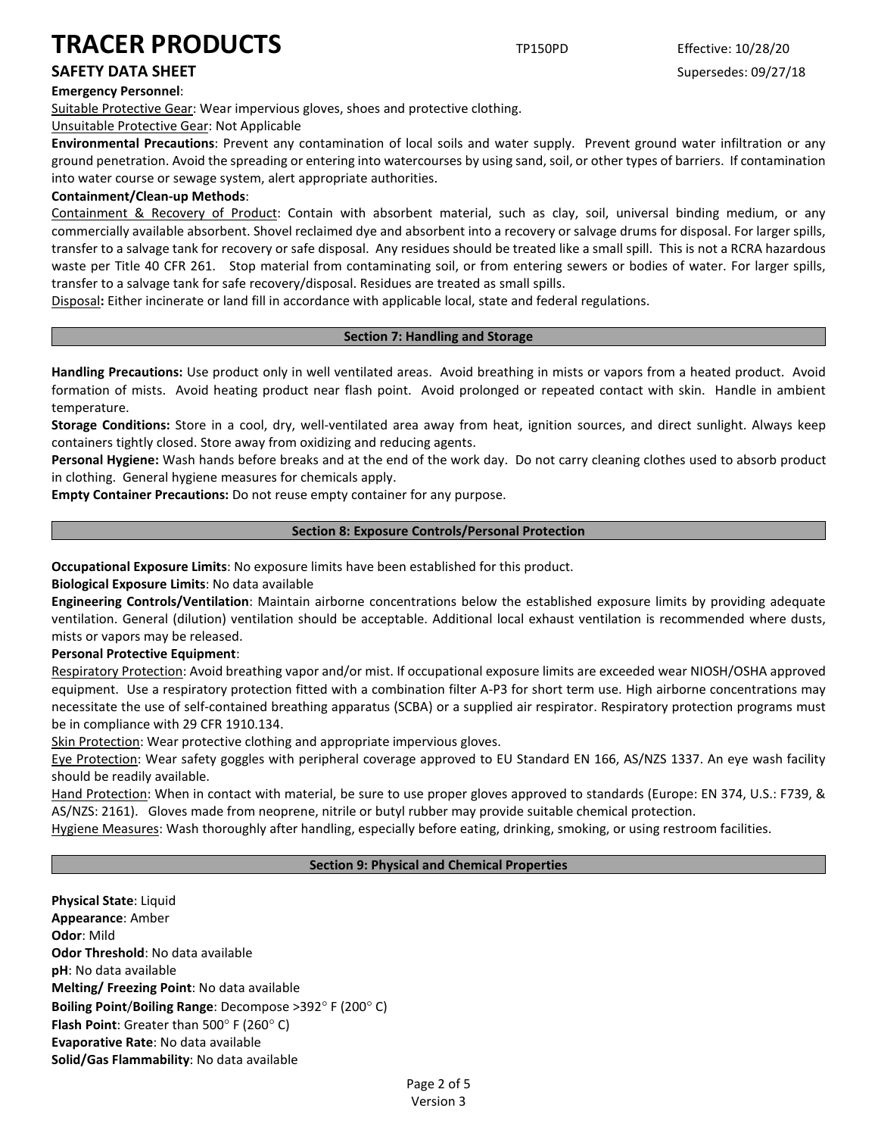**Emergency Personnel**:

Suitable Protective Gear: Wear impervious gloves, shoes and protective clothing.

Unsuitable Protective Gear: Not Applicable

**Environmental Precautions**: Prevent any contamination of local soils and water supply. Prevent ground water infiltration or any ground penetration. Avoid the spreading or entering into watercourses by using sand, soil, or other types of barriers. If contamination into water course or sewage system, alert appropriate authorities.

# **Containment/Clean-up Methods**:

Containment & Recovery of Product: Contain with absorbent material, such as clay, soil, universal binding medium, or any commercially available absorbent. Shovel reclaimed dye and absorbent into a recovery or salvage drums for disposal. For larger spills, transfer to a salvage tank for recovery or safe disposal. Any residues should be treated like a small spill. This is not a RCRA hazardous waste per Title 40 CFR 261. Stop material from contaminating soil, or from entering sewers or bodies of water. For larger spills, transfer to a salvage tank for safe recovery/disposal. Residues are treated as small spills.

Disposal**:** Either incinerate or land fill in accordance with applicable local, state and federal regulations.

# **Section 7: Handling and Storage**

**Handling Precautions:** Use product only in well ventilated areas. Avoid breathing in mists or vapors from a heated product. Avoid formation of mists. Avoid heating product near flash point. Avoid prolonged or repeated contact with skin. Handle in ambient temperature.

**Storage Conditions:** Store in a cool, dry, well-ventilated area away from heat, ignition sources, and direct sunlight. Always keep containers tightly closed. Store away from oxidizing and reducing agents.

**Personal Hygiene:** Wash hands before breaks and at the end of the work day. Do not carry cleaning clothes used to absorb product in clothing. General hygiene measures for chemicals apply.

**Empty Container Precautions:** Do not reuse empty container for any purpose.

# **Section 8: Exposure Controls/Personal Protection**

**Occupational Exposure Limits**: No exposure limits have been established for this product.

**Biological Exposure Limits**: No data available

**Engineering Controls/Ventilation**: Maintain airborne concentrations below the established exposure limits by providing adequate ventilation. General (dilution) ventilation should be acceptable. Additional local exhaust ventilation is recommended where dusts, mists or vapors may be released.

# **Personal Protective Equipment**:

Respiratory Protection: Avoid breathing vapor and/or mist. If occupational exposure limits are exceeded wear NIOSH/OSHA approved equipment. Use a respiratory protection fitted with a combination filter A-P3 for short term use. High airborne concentrations may necessitate the use of self-contained breathing apparatus (SCBA) or a supplied air respirator. Respiratory protection programs must be in compliance with 29 CFR 1910.134.

Skin Protection: Wear protective clothing and appropriate impervious gloves.

Eye Protection: Wear safety goggles with peripheral coverage approved to EU Standard EN 166, AS/NZS 1337. An eye wash facility should be readily available.

Hand Protection: When in contact with material, be sure to use proper gloves approved to standards (Europe: EN 374, U.S.: F739, & AS/NZS: 2161). Gloves made from neoprene, nitrile or butyl rubber may provide suitable chemical protection.

Hygiene Measures: Wash thoroughly after handling, especially before eating, drinking, smoking, or using restroom facilities.

# **Section 9: Physical and Chemical Properties**

**Physical State**: Liquid **Appearance**: Amber **Odor**: Mild **Odor Threshold**: No data available **pH**: No data available **Melting/ Freezing Point**: No data available **Boiling Point**/**Boiling Range**: Decompose >392° F (200° C) **Flash Point**: Greater than 500° F (260° C) **Evaporative Rate**: No data available **Solid/Gas Flammability**: No data available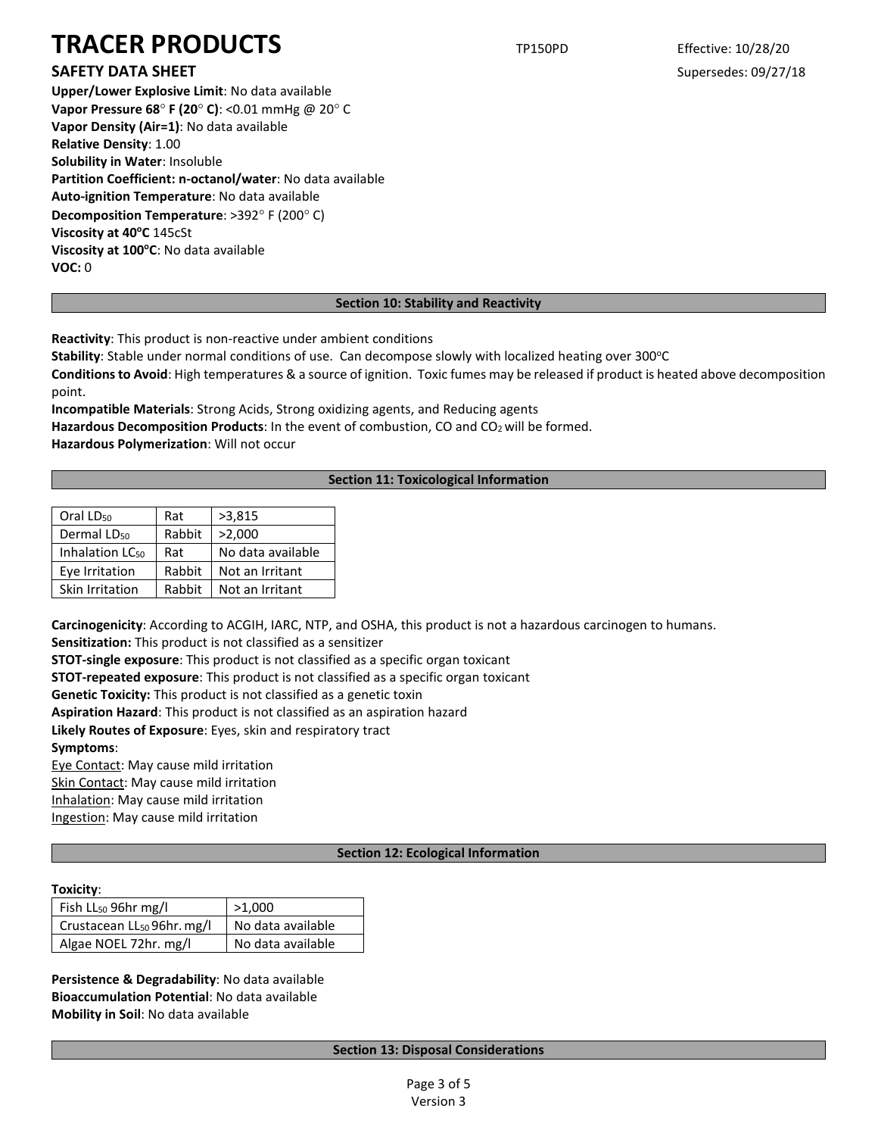# **SAFETY DATA SHEET** SUPERFOUR SUPERFOUR SUPERFOUR SUPERFOUR SUPERFOUR SUPERFOUR SUPERFOUR SUPERFOUR SUPERFOUR SUPERFOUR SUPERFOUR SUPERFOUR SUPERFOUR SUPERFOUR SUPERFOUR SUPERFOUR SUPERFOUR SUPERFOUR SUPERFOUR SUPERFOUR SU

**Upper/Lower Explosive Limit**: No data available **Vapor Pressure 68**° **F (20**° **C)**: <0.01 mmHg @ 20° C **Vapor Density (Air=1)**: No data available **Relative Density**: 1.00 **Solubility in Water**: Insoluble **Partition Coefficient: n-octanol/water**: No data available **Auto-ignition Temperature**: No data available **Decomposition Temperature**: >392° F (200° C) **Viscosity at 40°C** 145cSt **Viscosity at 100°C**: No data available **VOC:** 0

# **Section 10: Stability and Reactivity**

**Reactivity**: This product is non-reactive under ambient conditions

**Stability**: Stable under normal conditions of use. Can decompose slowly with localized heating over 300°C

**Conditions to Avoid**: High temperatures & a source of ignition. Toxic fumes may be released if product is heated above decomposition point.

**Incompatible Materials**: Strong Acids, Strong oxidizing agents, and Reducing agents Hazardous Decomposition Products: In the event of combustion, CO and CO<sub>2</sub> will be formed. **Hazardous Polymerization**: Will not occur

# **Section 11: Toxicological Information**

| Oral LD <sub>50</sub>       | Rat    | >3,815            |  |
|-----------------------------|--------|-------------------|--|
| Dermal LD <sub>50</sub>     | Rabbit | >2,000            |  |
| Inhalation LC <sub>50</sub> | Rat    | No data available |  |
| Eye Irritation              | Rabbit | Not an Irritant   |  |
| Skin Irritation             | Rabbit | Not an Irritant   |  |

**Carcinogenicity**: According to ACGIH, IARC, NTP, and OSHA, this product is not a hazardous carcinogen to humans.

**Sensitization:** This product is not classified as a sensitizer

**STOT-single exposure**: This product is not classified as a specific organ toxicant

**STOT-repeated exposure**: This product is not classified as a specific organ toxicant

**Genetic Toxicity:** This product is not classified as a genetic toxin

**Aspiration Hazard**: This product is not classified as an aspiration hazard

**Likely Routes of Exposure**: Eyes, skin and respiratory tract

**Symptoms**:

Eye Contact: May cause mild irritation

Skin Contact: May cause mild irritation

Inhalation: May cause mild irritation

Ingestion: May cause mild irritation

# **Section 12: Ecological Information**

# **Toxicity**:

| Fish LL <sub>50</sub> 96hr mg/l        | >1,000            |
|----------------------------------------|-------------------|
| Crustacean LL <sub>50</sub> 96hr. mg/l | No data available |
| Algae NOEL 72hr. mg/l                  | No data available |

**Persistence & Degradability**: No data available **Bioaccumulation Potential**: No data available **Mobility in Soil**: No data available

# **Section 13: Disposal Considerations**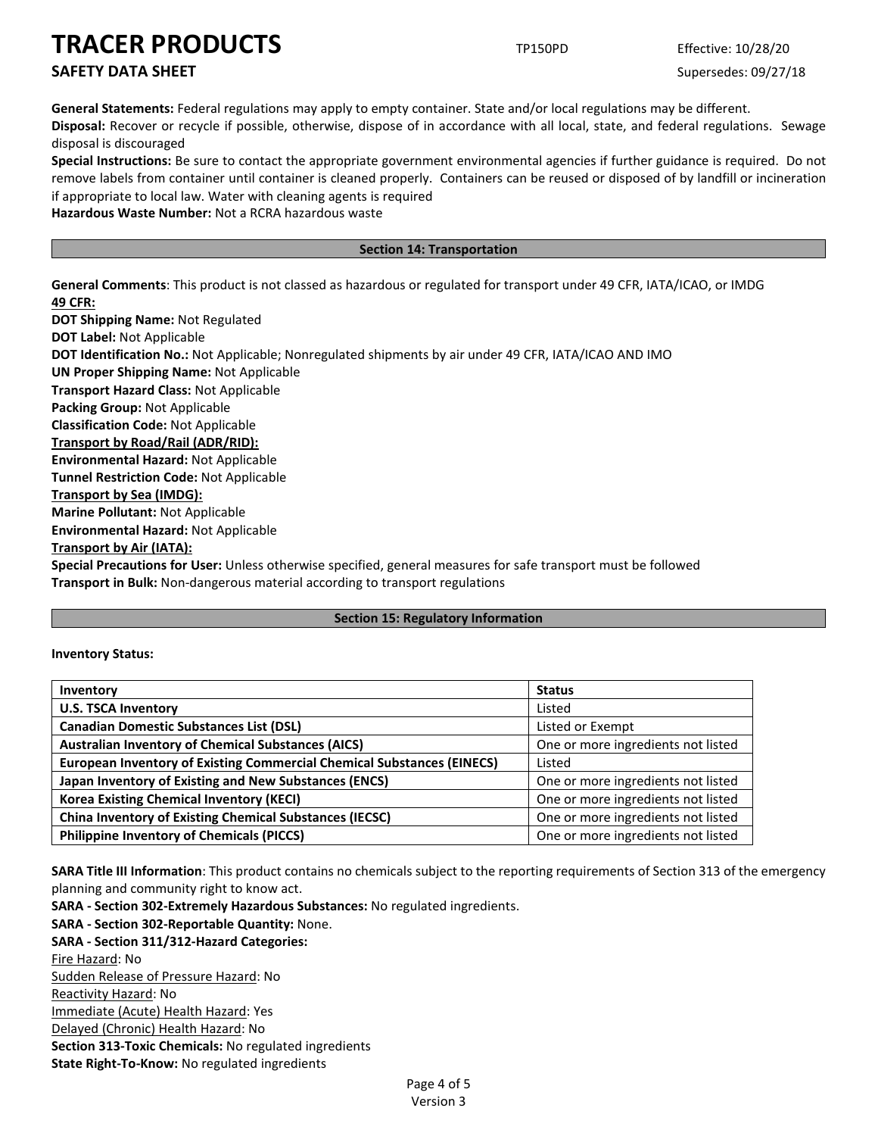# **SAFETY DATA SHEET** SUPERFOUR SUPERFOUR SUPERFOUR SUPERFOUR SUPERFOUR SUPERFOUR SUPERFOUR SUPERFOUR SUPERFOUR SUPERFOUR SUPERFOUR SUPERFOUR SUPERFOUR SUPERFOUR SUPERFOUR SUPERFOUR SUPERFOUR SUPERFOUR SUPERFOUR SUPERFOUR SU

**General Statements:** Federal regulations may apply to empty container. State and/or local regulations may be different.

**Disposal:** Recover or recycle if possible, otherwise, dispose of in accordance with all local, state, and federal regulations. Sewage disposal is discouraged

**Special Instructions:** Be sure to contact the appropriate government environmental agencies if further guidance is required. Do not remove labels from container until container is cleaned properly. Containers can be reused or disposed of by landfill or incineration if appropriate to local law. Water with cleaning agents is required

**Hazardous Waste Number:** Not a RCRA hazardous waste

# **Section 14: Transportation**

**General Comments**: This product is not classed as hazardous or regulated for transport under 49 CFR, IATA/ICAO, or IMDG **49 CFR:**

**DOT Shipping Name:** Not Regulated **DOT Label:** Not Applicable **DOT Identification No.:** Not Applicable; Nonregulated shipments by air under 49 CFR, IATA/ICAO AND IMO **UN Proper Shipping Name:** Not Applicable **Transport Hazard Class:** Not Applicable **Packing Group:** Not Applicable **Classification Code:** Not Applicable **Transport by Road/Rail (ADR/RID): Environmental Hazard:** Not Applicable **Tunnel Restriction Code:** Not Applicable **Transport by Sea (IMDG): Marine Pollutant:** Not Applicable **Environmental Hazard:** Not Applicable **Transport by Air (IATA): Special Precautions for User:** Unless otherwise specified, general measures for safe transport must be followed **Transport in Bulk:** Non-dangerous material according to transport regulations

# **Section 15: Regulatory Information**

# **Inventory Status:**

| Inventory                                                                     | <b>Status</b>                      |
|-------------------------------------------------------------------------------|------------------------------------|
| <b>U.S. TSCA Inventory</b>                                                    | Listed                             |
| <b>Canadian Domestic Substances List (DSL)</b>                                | Listed or Exempt                   |
| <b>Australian Inventory of Chemical Substances (AICS)</b>                     | One or more ingredients not listed |
| <b>European Inventory of Existing Commercial Chemical Substances (EINECS)</b> | Listed                             |
| Japan Inventory of Existing and New Substances (ENCS)                         | One or more ingredients not listed |
| <b>Korea Existing Chemical Inventory (KECI)</b>                               | One or more ingredients not listed |
| <b>China Inventory of Existing Chemical Substances (IECSC)</b>                | One or more ingredients not listed |
| <b>Philippine Inventory of Chemicals (PICCS)</b>                              | One or more ingredients not listed |

**SARA Title III Information**: This product contains no chemicals subject to the reporting requirements of Section 313 of the emergency planning and community right to know act.

**SARA - Section 302-Extremely Hazardous Substances:** No regulated ingredients. **SARA - Section 302-Reportable Quantity:** None. **SARA - Section 311/312-Hazard Categories:** Fire Hazard: No Sudden Release of Pressure Hazard: No Reactivity Hazard: No Immediate (Acute) Health Hazard: Yes Delayed (Chronic) Health Hazard: No **Section 313-Toxic Chemicals:** No regulated ingredients **State Right-To-Know:** No regulated ingredients